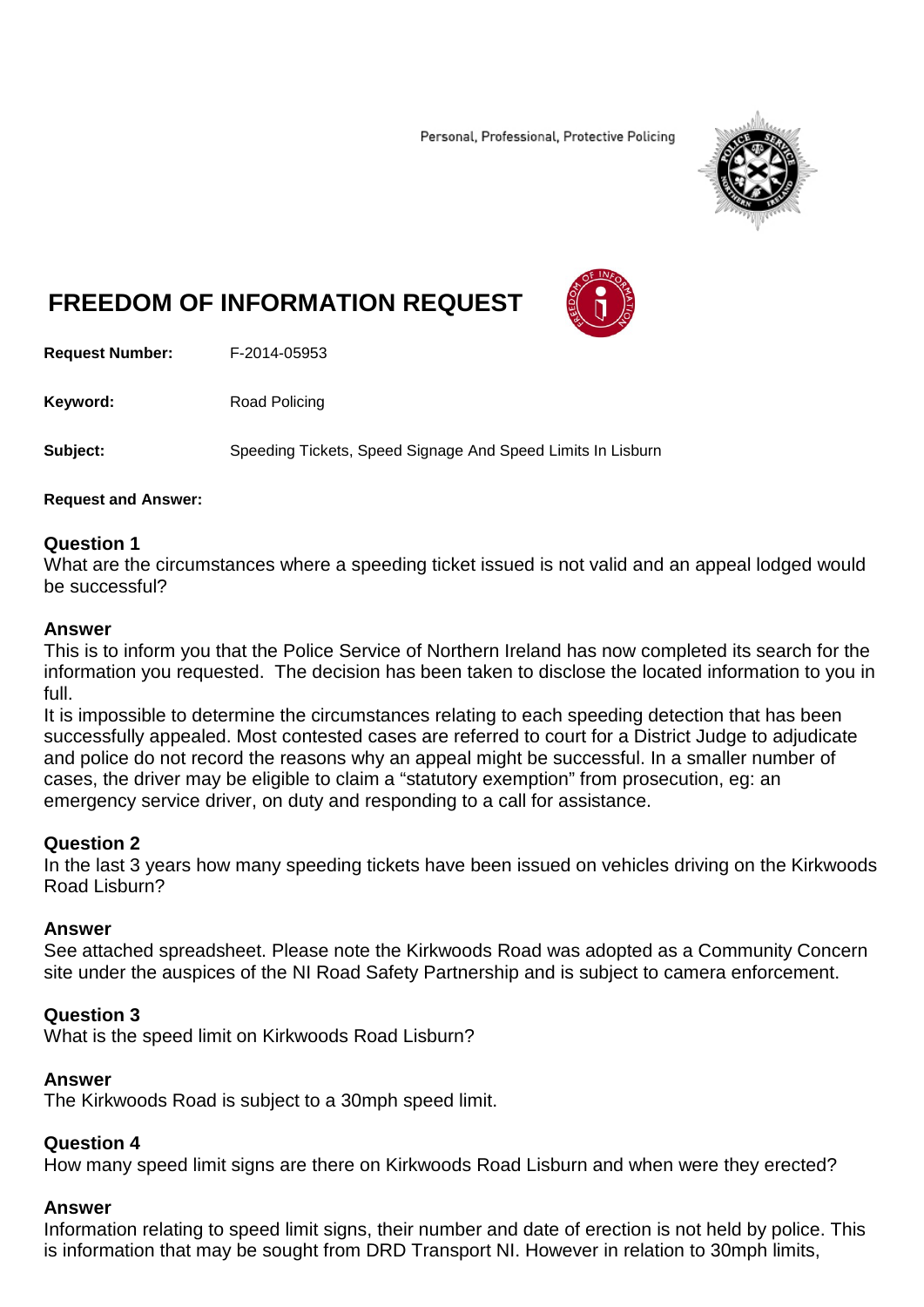Personal, Professional, Protective Policing



# **FREEDOM OF INFORMATION REQUEST**

**Request Number:** F-2014-05953

Keyword: Road Policing

**Subject:** Speeding Tickets, Speed Signage And Speed Limits In Lisburn

### **Request and Answer:**

# **Question 1**

What are the circumstances where a speeding ticket issued is not valid and an appeal lodged would be successful?

### **Answer**

This is to inform you that the Police Service of Northern Ireland has now completed its search for the information you requested. The decision has been taken to disclose the located information to you in full.

It is impossible to determine the circumstances relating to each speeding detection that has been successfully appealed. Most contested cases are referred to court for a District Judge to adjudicate and police do not record the reasons why an appeal might be successful. In a smaller number of cases, the driver may be eligible to claim a "statutory exemption" from prosecution, eg: an emergency service driver, on duty and responding to a call for assistance.

# **Question 2**

In the last 3 years how many speeding tickets have been issued on vehicles driving on the Kirkwoods Road Lisburn?

# **Answer**

See attached spreadsheet. Please note the Kirkwoods Road was adopted as a Community Concern site under the auspices of the NI Road Safety Partnership and is subject to camera enforcement.

### **Question 3**

What is the speed limit on Kirkwoods Road Lisburn?

### **Answer**

The Kirkwoods Road is subject to a 30mph speed limit.

# **Question 4**

How many speed limit signs are there on Kirkwoods Road Lisburn and when were they erected?

# **Answer**

Information relating to speed limit signs, their number and date of erection is not held by police. This is information that may be sought from DRD Transport NI. However in relation to 30mph limits,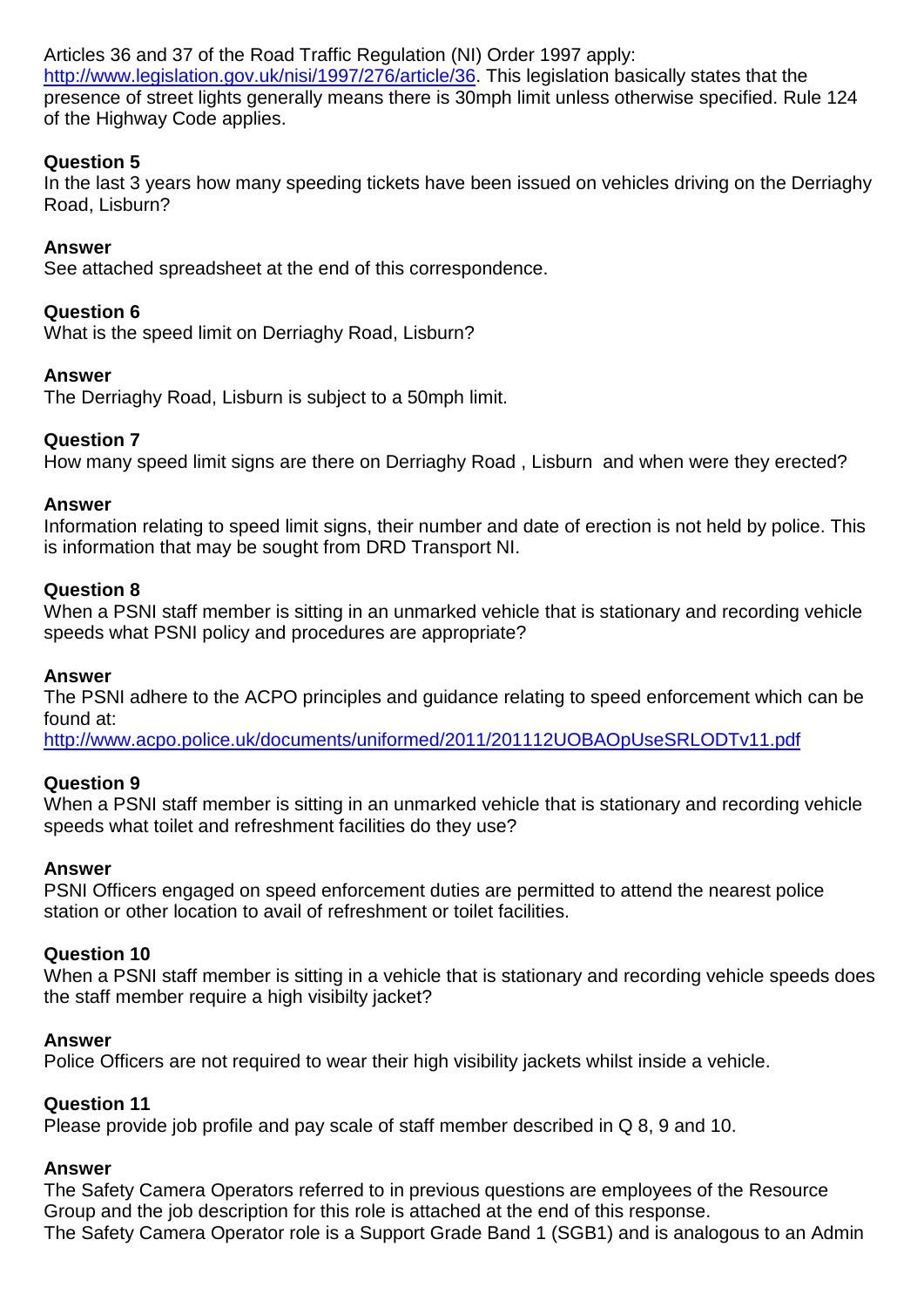Articles 36 and 37 of the Road Traffic Regulation (NI) Order 1997 apply: [http://www.legislation.gov.uk/nisi/1997/276/article/36.](http://www.legislation.gov.uk/nisi/1997/276/article/36) This legislation basically states that the presence of street lights generally means there is 30mph limit unless otherwise specified. Rule 124 of the Highway Code applies.

# **Question 5**

In the last 3 years how many speeding tickets have been issued on vehicles driving on the Derriaghy Road, Lisburn?

# **Answer**

See attached spreadsheet at the end of this correspondence.

# **Question 6**

What is the speed limit on Derriaghy Road, Lisburn?

# **Answer**

The Derriaghy Road, Lisburn is subject to a 50mph limit.

# **Question 7**

How many speed limit signs are there on Derriaghy Road , Lisburn and when were they erected?

# **Answer**

Information relating to speed limit signs, their number and date of erection is not held by police. This is information that may be sought from DRD Transport NI.

# **Question 8**

When a PSNI staff member is sitting in an unmarked vehicle that is stationary and recording vehicle speeds what PSNI policy and procedures are appropriate?

# **Answer**

The PSNI adhere to the ACPO principles and guidance relating to speed enforcement which can be found at:

<http://www.acpo.police.uk/documents/uniformed/2011/201112UOBAOpUseSRLODTv11.pdf>

# **Question 9**

When a PSNI staff member is sitting in an unmarked vehicle that is stationary and recording vehicle speeds what toilet and refreshment facilities do they use?

# **Answer**

PSNI Officers engaged on speed enforcement duties are permitted to attend the nearest police station or other location to avail of refreshment or toilet facilities.

# **Question 10**

When a PSNI staff member is sitting in a vehicle that is stationary and recording vehicle speeds does the staff member require a high visibilty jacket?

# **Answer**

Police Officers are not required to wear their high visibility jackets whilst inside a vehicle.

# **Question 11**

Please provide job profile and pay scale of staff member described in Q 8, 9 and 10.

# **Answer**

The Safety Camera Operators referred to in previous questions are employees of the Resource Group and the job description for this role is attached at the end of this response. The Safety Camera Operator role is a Support Grade Band 1 (SGB1) and is analogous to an Admin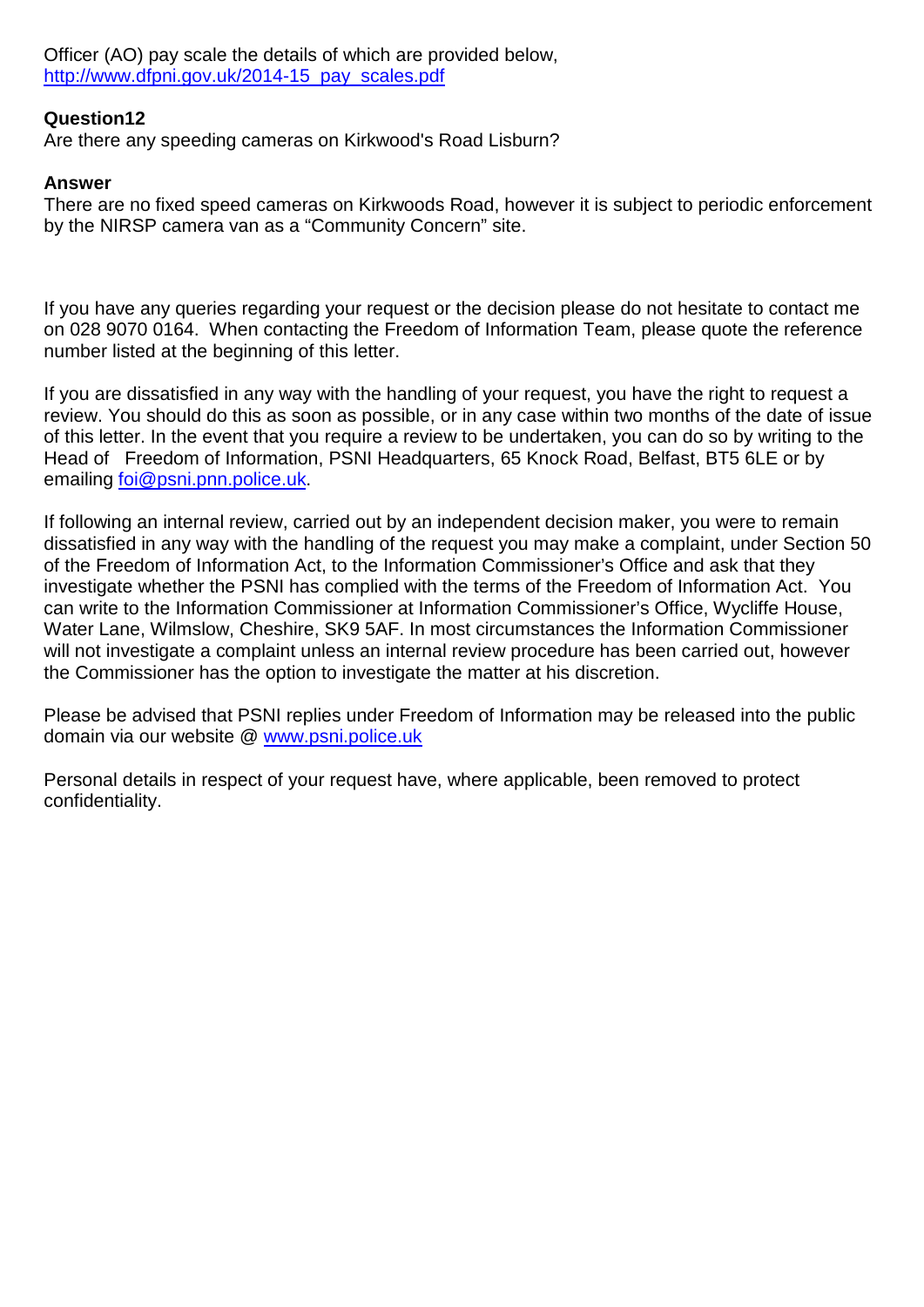Officer (AO) pay scale the details of which are provided below, [http://www.dfpni.gov.uk/2014-15\\_pay\\_scales.pdf](http://www.dfpni.gov.uk/2014-15_pay_scales.pdf)

# **Question12**

Are there any speeding cameras on Kirkwood's Road Lisburn?

# **Answer**

There are no fixed speed cameras on Kirkwoods Road, however it is subject to periodic enforcement by the NIRSP camera van as a "Community Concern" site.

If you have any queries regarding your request or the decision please do not hesitate to contact me on 028 9070 0164. When contacting the Freedom of Information Team, please quote the reference number listed at the beginning of this letter.

If you are dissatisfied in any way with the handling of your request, you have the right to request a review. You should do this as soon as possible, or in any case within two months of the date of issue of this letter. In the event that you require a review to be undertaken, you can do so by writing to the Head of Freedom of Information, PSNI Headquarters, 65 Knock Road, Belfast, BT5 6LE or by emailing [foi@psni.pnn.police.uk.](mailto:foi@psni.pnn.police.uk)

If following an internal review, carried out by an independent decision maker, you were to remain dissatisfied in any way with the handling of the request you may make a complaint, under Section 50 of the Freedom of Information Act, to the Information Commissioner's Office and ask that they investigate whether the PSNI has complied with the terms of the Freedom of Information Act. You can write to the Information Commissioner at Information Commissioner's Office, Wycliffe House, Water Lane, Wilmslow, Cheshire, SK9 5AF. In most circumstances the Information Commissioner will not investigate a complaint unless an internal review procedure has been carried out, however the Commissioner has the option to investigate the matter at his discretion.

Please be advised that PSNI replies under Freedom of Information may be released into the public domain via our website @ [www.psni.police.uk](http://www.psni.police.uk/)

Personal details in respect of your request have, where applicable, been removed to protect confidentiality.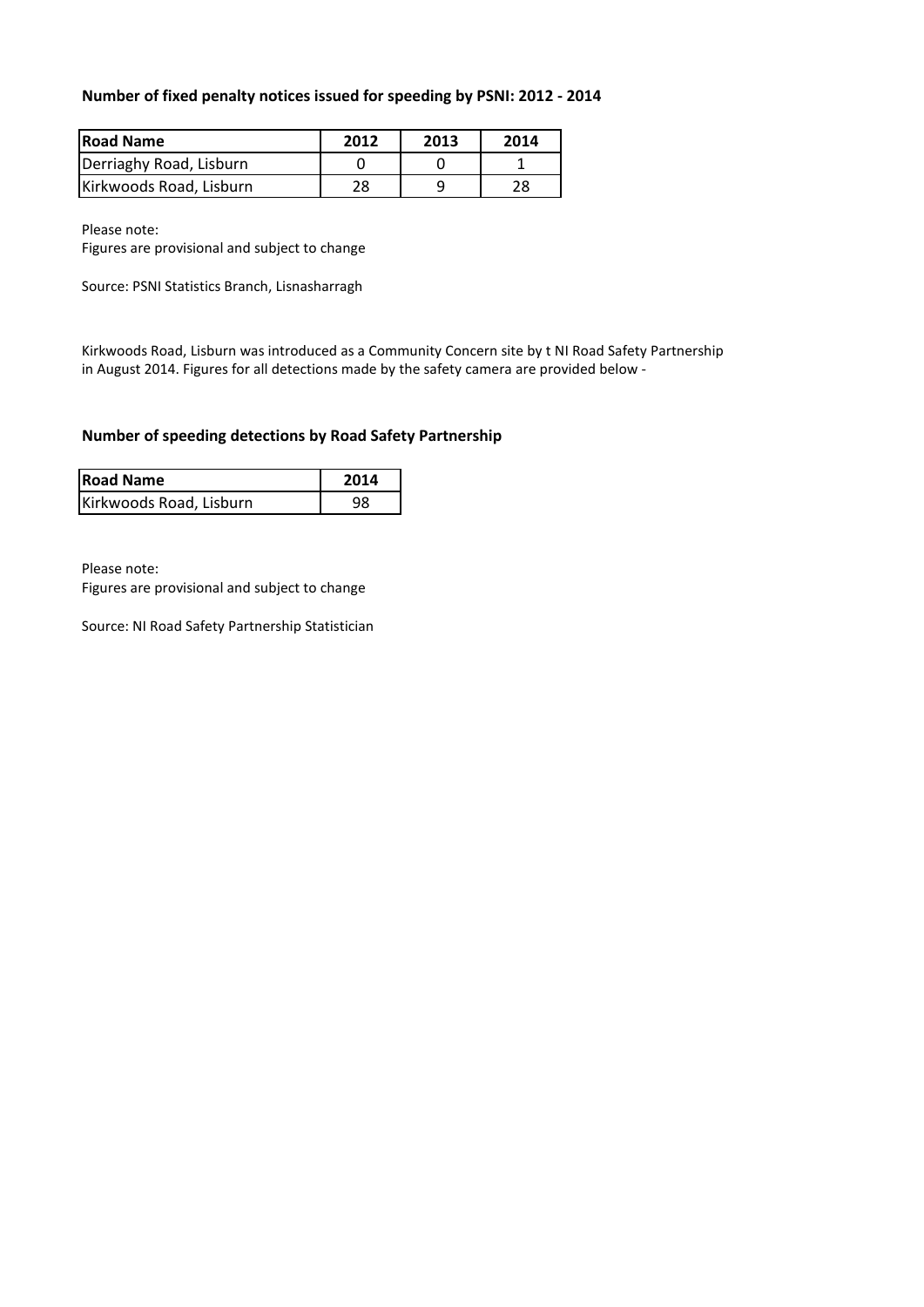### **Number of fixed penalty notices issued for speeding by PSNI: 2012 - 2014**

| <b>Road Name</b>        | 2012 | 2013 | 2014 |
|-------------------------|------|------|------|
| Derriaghy Road, Lisburn |      |      |      |
| Kirkwoods Road, Lisburn | 28   |      | 28   |

Please note:

Figures are provisional and subject to change

Source: PSNI Statistics Branch, Lisnasharragh

Kirkwoods Road, Lisburn was introduced as a Community Concern site by t NI Road Safety Partnership in August 2014. Figures for all detections made by the safety camera are provided below -

### **Number of speeding detections by Road Safety Partnership**

| <b>Road Name</b>        | 2014 |
|-------------------------|------|
| Kirkwoods Road, Lisburn | 98   |

Please note:

Figures are provisional and subject to change

Source: NI Road Safety Partnership Statistician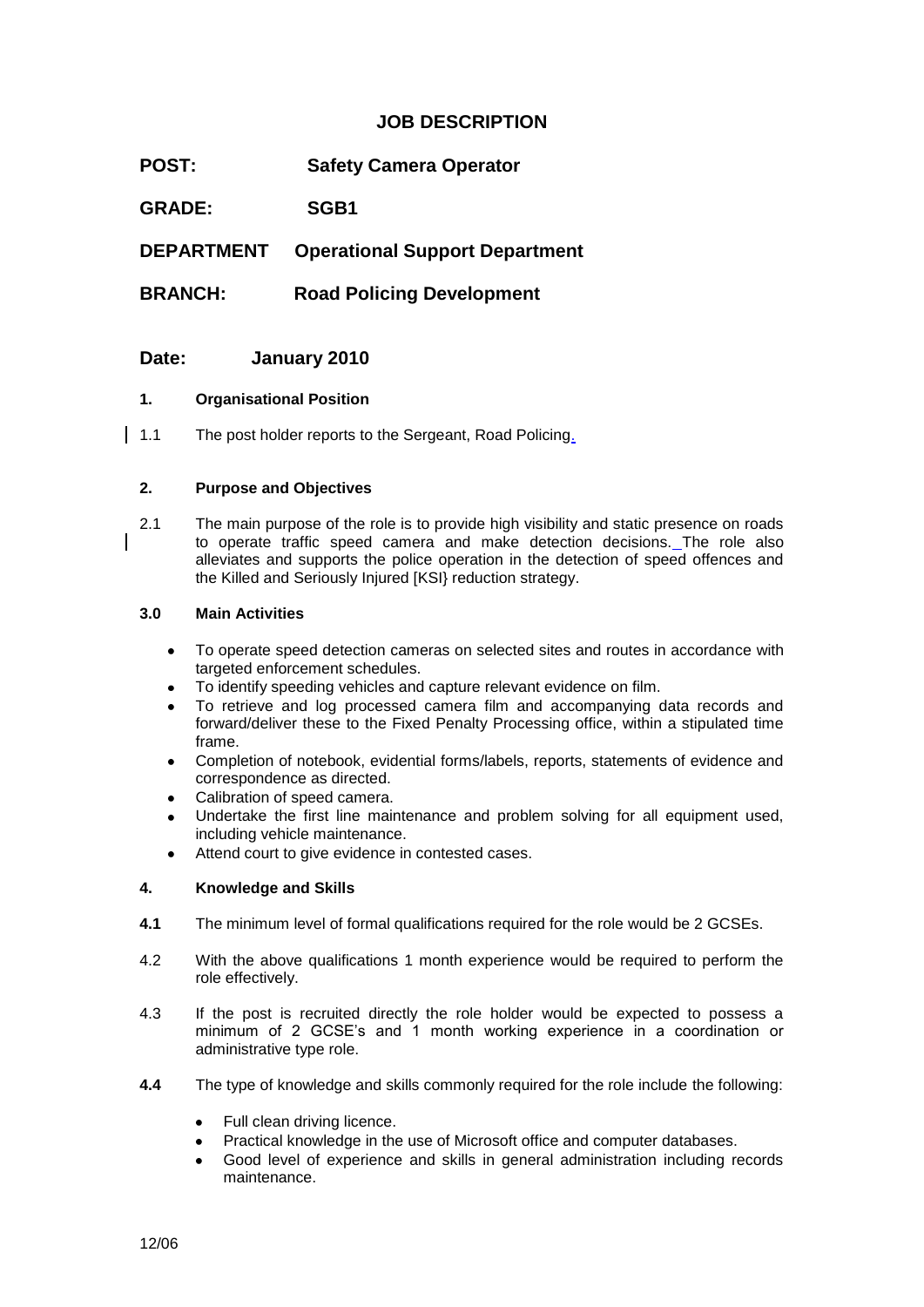### **JOB DESCRIPTION**

**POST: Safety Camera Operator**

**GRADE: SGB1**

**DEPARTMENT Operational Support Department**

**BRANCH: Road Policing Development** 

### **Date: January 2010**

### **1. Organisational Position**

1.1 The post holder reports to the Sergeant, Road Policing.

### **2. Purpose and Objectives**

2.1 The main purpose of the role is to provide high visibility and static presence on roads to operate traffic speed camera and make detection decisions. The role also alleviates and supports the police operation in the detection of speed offences and the Killed and Seriously Injured [KSI} reduction strategy.

### **3.0 Main Activities**

- To operate speed detection cameras on selected sites and routes in accordance with targeted enforcement schedules.
- To identify speeding vehicles and capture relevant evidence on film.
- To retrieve and log processed camera film and accompanying data records and forward/deliver these to the Fixed Penalty Processing office, within a stipulated time frame.
- Completion of notebook, evidential forms/labels, reports, statements of evidence and correspondence as directed.
- Calibration of speed camera.
- Undertake the first line maintenance and problem solving for all equipment used, including vehicle maintenance.
- Attend court to give evidence in contested cases.

### **4. Knowledge and Skills**

- **4.1** The minimum level of formal qualifications required for the role would be 2 GCSEs.
- 4.2 With the above qualifications 1 month experience would be required to perform the role effectively.
- 4.3 If the post is recruited directly the role holder would be expected to possess a minimum of 2 GCSE's and 1 month working experience in a coordination or administrative type role.
- **4.4** The type of knowledge and skills commonly required for the role include the following:
	- Full clean driving licence.
	- Practical knowledge in the use of Microsoft office and computer databases.
	- Good level of experience and skills in general administration including records maintenance.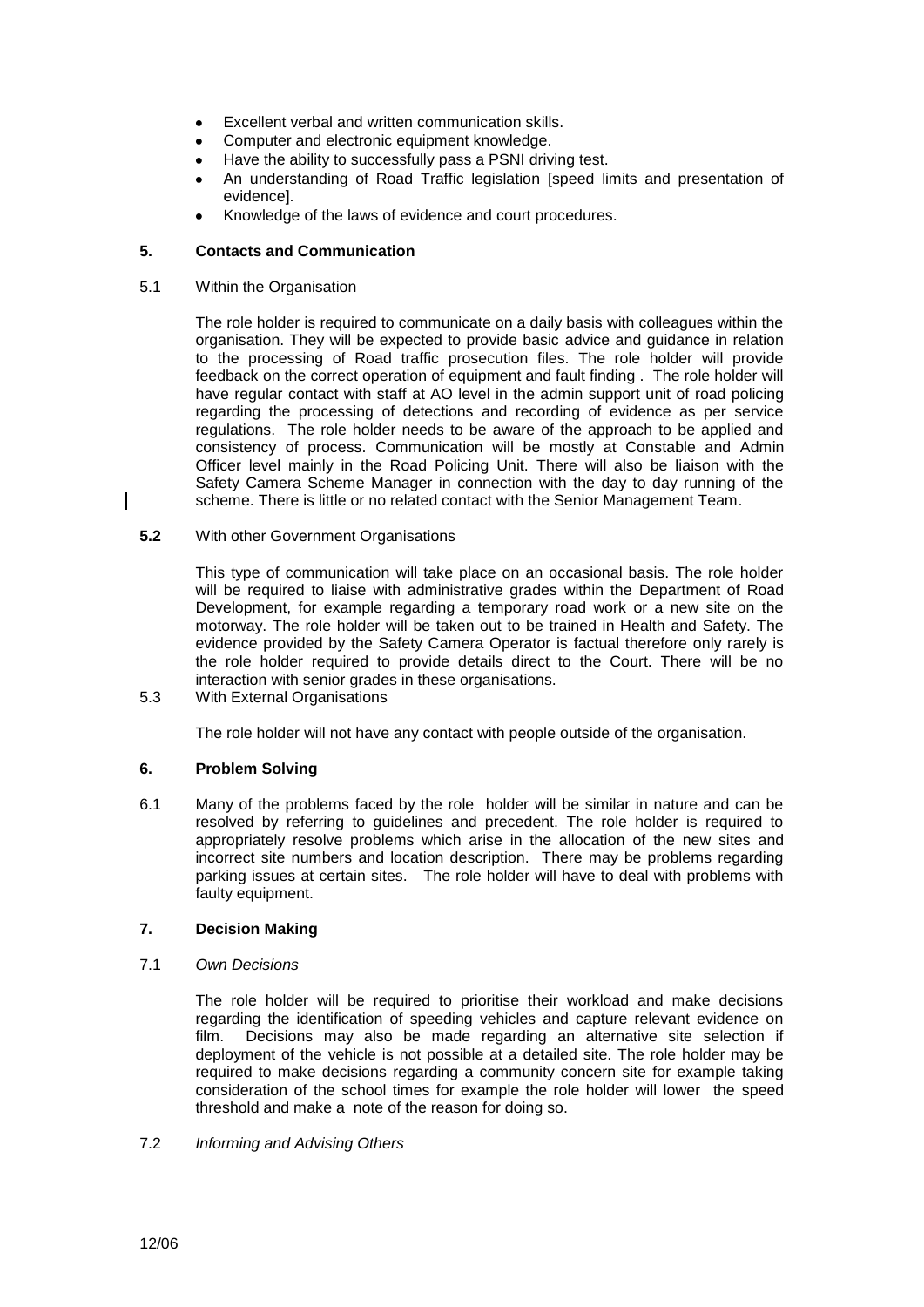- Excellent verbal and written communication skills.
- Computer and electronic equipment knowledge.
- Have the ability to successfully pass a PSNI driving test.
- An understanding of Road Traffic legislation [speed limits and presentation of evidence].
- Knowledge of the laws of evidence and court procedures.

### **5. Contacts and Communication**

5.1 Within the Organisation

The role holder is required to communicate on a daily basis with colleagues within the organisation. They will be expected to provide basic advice and guidance in relation to the processing of Road traffic prosecution files. The role holder will provide feedback on the correct operation of equipment and fault finding . The role holder will have regular contact with staff at AO level in the admin support unit of road policing regarding the processing of detections and recording of evidence as per service regulations. The role holder needs to be aware of the approach to be applied and consistency of process. Communication will be mostly at Constable and Admin Officer level mainly in the Road Policing Unit. There will also be liaison with the Safety Camera Scheme Manager in connection with the day to day running of the scheme. There is little or no related contact with the Senior Management Team.

**5.2** With other Government Organisations

This type of communication will take place on an occasional basis. The role holder will be required to liaise with administrative grades within the Department of Road Development, for example regarding a temporary road work or a new site on the motorway. The role holder will be taken out to be trained in Health and Safety. The evidence provided by the Safety Camera Operator is factual therefore only rarely is the role holder required to provide details direct to the Court. There will be no interaction with senior grades in these organisations.

5.3 With External Organisations

The role holder will not have any contact with people outside of the organisation.

#### **6. Problem Solving**

6.1 Many of the problems faced by the role holder will be similar in nature and can be resolved by referring to guidelines and precedent. The role holder is required to appropriately resolve problems which arise in the allocation of the new sites and incorrect site numbers and location description. There may be problems regarding parking issues at certain sites. The role holder will have to deal with problems with faulty equipment.

### **7. Decision Making**

7.1 *Own Decisions*

The role holder will be required to prioritise their workload and make decisions regarding the identification of speeding vehicles and capture relevant evidence on film. Decisions may also be made regarding an alternative site selection if deployment of the vehicle is not possible at a detailed site. The role holder may be required to make decisions regarding a community concern site for example taking consideration of the school times for example the role holder will lower the speed threshold and make a note of the reason for doing so.

#### 7.2 *Informing and Advising Others*